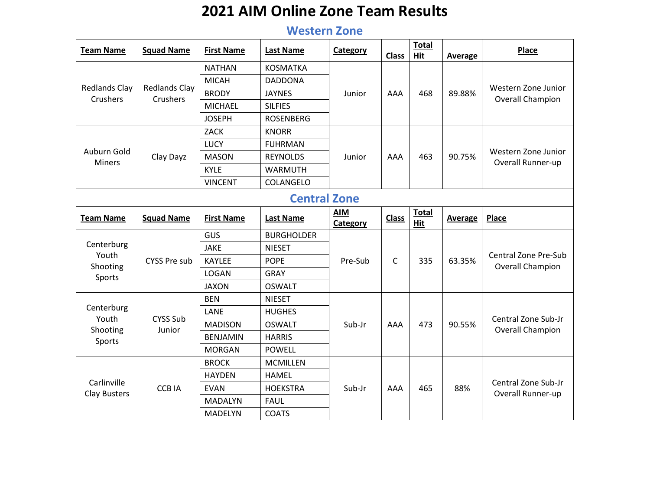## **2021 AIM Online Zone Team Results**

## **Western Zone**

| <b>Team Name</b>                        | <b>Squad Name</b>                       | <b>First Name</b> | <b>Last Name</b>  | Category               | <b>Class</b> | <b>Total</b><br>Hit | <b>Average</b> | Place                                                                                                                                                                                                                                         |  |
|-----------------------------------------|-----------------------------------------|-------------------|-------------------|------------------------|--------------|---------------------|----------------|-----------------------------------------------------------------------------------------------------------------------------------------------------------------------------------------------------------------------------------------------|--|
|                                         |                                         | <b>NATHAN</b>     | <b>KOSMATKA</b>   |                        |              |                     |                |                                                                                                                                                                                                                                               |  |
|                                         |                                         | <b>MICAH</b>      | <b>DADDONA</b>    |                        |              |                     |                |                                                                                                                                                                                                                                               |  |
| <b>Redlands Clay</b><br><b>Crushers</b> | <b>Redlands Clay</b><br><b>Crushers</b> | <b>BRODY</b>      | <b>JAYNES</b>     | Junior                 | AAA          | 468                 | 89.88%         |                                                                                                                                                                                                                                               |  |
|                                         |                                         | <b>MICHAEL</b>    | <b>SILFIES</b>    |                        |              |                     |                |                                                                                                                                                                                                                                               |  |
|                                         |                                         | <b>JOSEPH</b>     | <b>ROSENBERG</b>  |                        |              |                     |                |                                                                                                                                                                                                                                               |  |
|                                         |                                         | <b>ZACK</b>       | <b>KNORR</b>      |                        |              |                     |                |                                                                                                                                                                                                                                               |  |
| Auburn Gold<br><b>Miners</b>            |                                         | LUCY              | <b>FUHRMAN</b>    |                        |              |                     |                |                                                                                                                                                                                                                                               |  |
|                                         | Clay Dayz                               | <b>MASON</b>      | <b>REYNOLDS</b>   | Junior                 | AAA          | 463                 | 90.75%         |                                                                                                                                                                                                                                               |  |
|                                         |                                         | <b>KYLE</b>       | <b>WARMUTH</b>    |                        |              |                     |                | Western Zone Junior<br>Overall Champion<br>Western Zone Junior<br>Overall Runner-up<br>Place<br><b>Central Zone Pre-Sub</b><br><b>Overall Champion</b><br>Central Zone Sub-Jr<br>Overall Champion<br>Central Zone Sub-Jr<br>Overall Runner-up |  |
|                                         |                                         | <b>VINCENT</b>    | COLANGELO         |                        |              |                     |                |                                                                                                                                                                                                                                               |  |
| <b>Central Zone</b>                     |                                         |                   |                   |                        |              |                     |                |                                                                                                                                                                                                                                               |  |
| <b>Team Name</b>                        | <b>Squad Name</b>                       | <b>First Name</b> | <b>Last Name</b>  | <b>AIM</b><br>Category | <b>Class</b> | <b>Total</b><br>Hit | Average        |                                                                                                                                                                                                                                               |  |
|                                         |                                         | GUS               | <b>BURGHOLDER</b> |                        |              |                     |                |                                                                                                                                                                                                                                               |  |
| Centerburg<br>Youth                     |                                         | <b>JAKE</b>       | <b>NIESET</b>     |                        |              |                     |                |                                                                                                                                                                                                                                               |  |
| Shooting                                | <b>CYSS Pre sub</b>                     | <b>KAYLEE</b>     | <b>POPE</b>       | Pre-Sub                | C            | 335                 | 63.35%         |                                                                                                                                                                                                                                               |  |
| Sports                                  |                                         | LOGAN             | <b>GRAY</b>       |                        |              |                     |                |                                                                                                                                                                                                                                               |  |
|                                         |                                         | <b>JAXON</b>      | <b>OSWALT</b>     |                        |              |                     |                |                                                                                                                                                                                                                                               |  |
|                                         |                                         | <b>BEN</b>        | <b>NIESET</b>     |                        |              |                     |                |                                                                                                                                                                                                                                               |  |
| Centerburg<br>Youth                     | <b>CYSS Sub</b>                         | LANE              | <b>HUGHES</b>     |                        |              |                     |                |                                                                                                                                                                                                                                               |  |
| Shooting                                | Junior                                  | <b>MADISON</b>    | <b>OSWALT</b>     | Sub-Jr                 | AAA          | 473                 | 90.55%         |                                                                                                                                                                                                                                               |  |
| Sports                                  |                                         | <b>BENJAMIN</b>   | <b>HARRIS</b>     |                        |              |                     |                |                                                                                                                                                                                                                                               |  |
|                                         |                                         | <b>MORGAN</b>     | <b>POWELL</b>     |                        |              |                     |                |                                                                                                                                                                                                                                               |  |
|                                         |                                         | <b>BROCK</b>      | <b>MCMILLEN</b>   |                        |              |                     |                |                                                                                                                                                                                                                                               |  |
| Carlinville                             |                                         | <b>HAYDEN</b>     | <b>HAMEL</b>      |                        |              |                     |                |                                                                                                                                                                                                                                               |  |
|                                         | <b>CCB IA</b>                           | <b>EVAN</b>       | <b>HOEKSTRA</b>   | Sub-Jr                 | AAA          | 465                 | 88%            |                                                                                                                                                                                                                                               |  |
| Clay Busters                            |                                         | <b>MADALYN</b>    | <b>FAUL</b>       |                        |              |                     |                |                                                                                                                                                                                                                                               |  |
|                                         |                                         | <b>MADELYN</b>    | <b>COATS</b>      |                        |              |                     |                |                                                                                                                                                                                                                                               |  |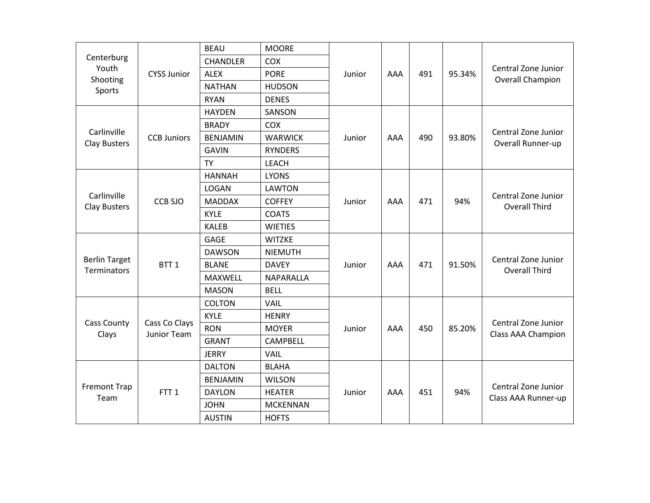|                                            |                              | <b>BEAU</b>     | <b>MOORE</b>    |        |     |     |        |                                                                                                                                                                                                                                   |
|--------------------------------------------|------------------------------|-----------------|-----------------|--------|-----|-----|--------|-----------------------------------------------------------------------------------------------------------------------------------------------------------------------------------------------------------------------------------|
| Centerburg<br>Youth                        |                              | <b>CHANDLER</b> | COX             |        |     |     |        |                                                                                                                                                                                                                                   |
| Shooting                                   | <b>CYSS Junior</b>           | ALEX            | <b>PORE</b>     | Junior | AAA | 491 | 95.34% | Central Zone Junior<br><b>Overall Champion</b>                                                                                                                                                                                    |
| Sports                                     |                              | <b>NATHAN</b>   | <b>HUDSON</b>   |        |     |     |        |                                                                                                                                                                                                                                   |
|                                            |                              | <b>RYAN</b>     | <b>DENES</b>    |        |     |     |        |                                                                                                                                                                                                                                   |
|                                            |                              | <b>HAYDEN</b>   | SANSON          |        |     |     |        |                                                                                                                                                                                                                                   |
| Carlinville<br>Clay Busters                |                              | <b>BRADY</b>    | COX             |        |     |     |        |                                                                                                                                                                                                                                   |
|                                            | <b>CCB Juniors</b>           | <b>BENJAMIN</b> | <b>WARWICK</b>  | Junior | AAA | 490 | 93.80% |                                                                                                                                                                                                                                   |
|                                            |                              | <b>GAVIN</b>    | <b>RYNDERS</b>  |        |     |     |        |                                                                                                                                                                                                                                   |
|                                            |                              | <b>TY</b>       | <b>LEACH</b>    |        |     |     |        |                                                                                                                                                                                                                                   |
|                                            |                              | <b>HANNAH</b>   | <b>LYONS</b>    |        |     |     |        |                                                                                                                                                                                                                                   |
|                                            |                              | <b>LOGAN</b>    | <b>LAWTON</b>   |        |     |     |        |                                                                                                                                                                                                                                   |
| Carlinville<br>Clay Busters                | <b>CCB SJO</b>               | <b>MADDAX</b>   | <b>COFFEY</b>   | Junior | AAA | 471 | 94%    |                                                                                                                                                                                                                                   |
|                                            |                              | <b>KYLE</b>     | <b>COATS</b>    |        |     |     |        |                                                                                                                                                                                                                                   |
|                                            |                              | <b>KALEB</b>    | <b>WIETIES</b>  |        |     |     |        |                                                                                                                                                                                                                                   |
|                                            |                              | <b>GAGE</b>     | <b>WITZKE</b>   |        |     |     |        |                                                                                                                                                                                                                                   |
|                                            |                              | <b>DAWSON</b>   | <b>NIEMUTH</b>  |        |     |     |        |                                                                                                                                                                                                                                   |
| <b>Berlin Target</b><br><b>Terminators</b> | BTT <sub>1</sub>             | <b>BLANE</b>    | <b>DAVEY</b>    | Junior | AAA | 471 | 91.50% |                                                                                                                                                                                                                                   |
|                                            |                              | MAXWELL         | NAPARALLA       |        |     |     |        |                                                                                                                                                                                                                                   |
|                                            |                              | <b>MASON</b>    | <b>BELL</b>     |        |     |     |        |                                                                                                                                                                                                                                   |
|                                            |                              | <b>COLTON</b>   | <b>VAIL</b>     |        |     |     |        |                                                                                                                                                                                                                                   |
|                                            |                              | <b>KYLE</b>     | <b>HENRY</b>    |        |     |     |        | Central Zone Junior<br>Overall Runner-up<br>Central Zone Junior<br><b>Overall Third</b><br>Central Zone Junior<br><b>Overall Third</b><br>Central Zone Junior<br>Class AAA Champion<br>Central Zone Junior<br>Class AAA Runner-up |
| Cass County<br>Clays                       | Cass Co Clays<br>Junior Team | <b>RON</b>      | <b>MOYER</b>    | Junior | AAA | 450 | 85.20% |                                                                                                                                                                                                                                   |
|                                            |                              | <b>GRANT</b>    | <b>CAMPBELL</b> |        |     |     |        |                                                                                                                                                                                                                                   |
|                                            |                              | <b>JERRY</b>    | VAIL            |        |     |     |        |                                                                                                                                                                                                                                   |
|                                            |                              | <b>DALTON</b>   | <b>BLAHA</b>    |        |     |     |        |                                                                                                                                                                                                                                   |
| <b>Fremont Trap</b><br>Team                |                              | <b>BENJAMIN</b> | <b>WILSON</b>   |        |     |     |        |                                                                                                                                                                                                                                   |
|                                            | FTT <sub>1</sub>             | <b>DAYLON</b>   | <b>HEATER</b>   | Junior | AAA | 451 | 94%    |                                                                                                                                                                                                                                   |
|                                            |                              | <b>JOHN</b>     | <b>MCKENNAN</b> |        |     |     |        |                                                                                                                                                                                                                                   |
|                                            |                              | <b>AUSTIN</b>   | <b>HOFTS</b>    |        |     |     |        |                                                                                                                                                                                                                                   |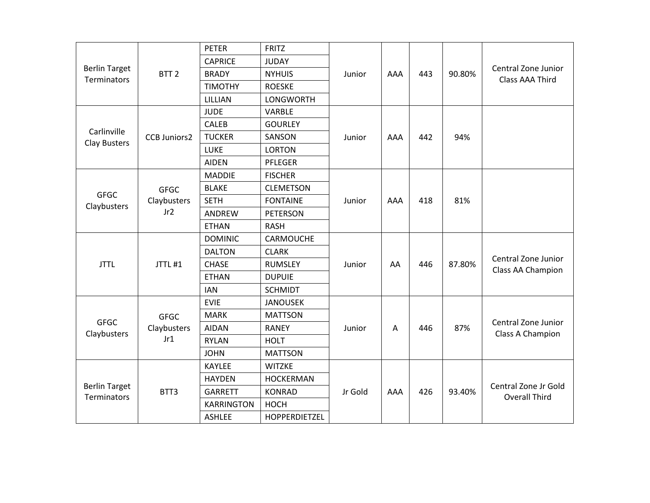|                                     |                     | <b>PETER</b>      | <b>FRITZ</b>     |         |     |     |        |                                                                                                                                     |
|-------------------------------------|---------------------|-------------------|------------------|---------|-----|-----|--------|-------------------------------------------------------------------------------------------------------------------------------------|
|                                     |                     | <b>CAPRICE</b>    | <b>JUDAY</b>     |         |     |     |        |                                                                                                                                     |
| <b>Berlin Target</b><br>Terminators | BTT <sub>2</sub>    | <b>BRADY</b>      | <b>NYHUIS</b>    | Junior  | AAA | 443 | 90.80% | Central Zone Junior<br><b>Class AAA Third</b>                                                                                       |
|                                     |                     | <b>TIMOTHY</b>    | <b>ROESKE</b>    |         |     |     |        |                                                                                                                                     |
|                                     |                     | LILLIAN           | <b>LONGWORTH</b> |         |     |     |        |                                                                                                                                     |
|                                     |                     | <b>JUDE</b>       | <b>VARBLE</b>    |         |     |     |        |                                                                                                                                     |
| Carlinville<br>Clay Busters         |                     | <b>CALEB</b>      | <b>GOURLEY</b>   |         |     |     |        |                                                                                                                                     |
|                                     | <b>CCB Juniors2</b> | <b>TUCKER</b>     | SANSON           | Junior  | AAA | 442 | 94%    |                                                                                                                                     |
|                                     |                     | LUKE              | <b>LORTON</b>    |         |     |     |        |                                                                                                                                     |
|                                     |                     | <b>AIDEN</b>      | PFLEGER          |         |     |     |        |                                                                                                                                     |
|                                     |                     | <b>MADDIE</b>     | <b>FISCHER</b>   |         |     |     |        |                                                                                                                                     |
| <b>GFGC</b><br>Claybusters          | <b>GFGC</b>         | <b>BLAKE</b>      | <b>CLEMETSON</b> |         |     |     |        |                                                                                                                                     |
|                                     | Claybusters         | <b>SETH</b>       | <b>FONTAINE</b>  | Junior  | AAA | 418 | 81%    |                                                                                                                                     |
|                                     | Jr2                 | ANDREW            | <b>PETERSON</b>  |         |     |     |        |                                                                                                                                     |
|                                     |                     | <b>ETHAN</b>      | <b>RASH</b>      |         |     |     |        |                                                                                                                                     |
|                                     |                     | <b>DOMINIC</b>    | CARMOUCHE        |         |     |     |        |                                                                                                                                     |
|                                     |                     | <b>DALTON</b>     | <b>CLARK</b>     |         |     |     |        |                                                                                                                                     |
| <b>JTTL</b>                         | JTTL#1              | <b>CHASE</b>      | <b>RUMSLEY</b>   | Junior  | AA  | 446 | 87.80% |                                                                                                                                     |
|                                     |                     | <b>ETHAN</b>      | <b>DUPUIE</b>    |         |     |     |        |                                                                                                                                     |
|                                     |                     | <b>IAN</b>        | <b>SCHMIDT</b>   |         |     |     |        |                                                                                                                                     |
|                                     |                     | <b>EVIE</b>       | <b>JANOUSEK</b>  |         |     |     |        |                                                                                                                                     |
|                                     | <b>GFGC</b>         | <b>MARK</b>       | <b>MATTSON</b>   |         |     |     |        |                                                                                                                                     |
| <b>GFGC</b><br>Claybusters          | Claybusters         | <b>AIDAN</b>      | <b>RANEY</b>     | Junior  | Α   | 446 | 87%    |                                                                                                                                     |
|                                     | Jr1                 | <b>RYLAN</b>      | <b>HOLT</b>      |         |     |     |        |                                                                                                                                     |
|                                     |                     | <b>JOHN</b>       | <b>MATTSON</b>   |         |     |     |        |                                                                                                                                     |
|                                     |                     | <b>KAYLEE</b>     | <b>WITZKE</b>    |         |     |     |        |                                                                                                                                     |
| <b>Berlin Target</b><br>Terminators |                     | <b>HAYDEN</b>     | <b>HOCKERMAN</b> |         |     |     |        |                                                                                                                                     |
|                                     | BTT3                | <b>GARRETT</b>    | <b>KONRAD</b>    | Jr Gold | AAA | 426 | 93.40% |                                                                                                                                     |
|                                     |                     | <b>KARRINGTON</b> | <b>HOCH</b>      |         |     |     |        | Central Zone Junior<br>Class AA Champion<br>Central Zone Junior<br>Class A Champion<br>Central Zone Jr Gold<br><b>Overall Third</b> |
|                                     |                     | <b>ASHLEE</b>     | HOPPERDIETZEL    |         |     |     |        |                                                                                                                                     |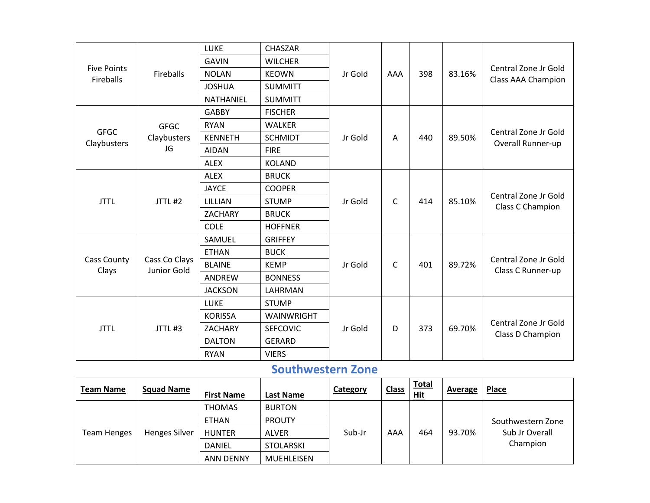|                                        |                              | LUKE           | CHASZAR         |         |              |     |        |                                                                                                                                                                                                                              |
|----------------------------------------|------------------------------|----------------|-----------------|---------|--------------|-----|--------|------------------------------------------------------------------------------------------------------------------------------------------------------------------------------------------------------------------------------|
|                                        |                              | <b>GAVIN</b>   | <b>WILCHER</b>  |         |              |     |        |                                                                                                                                                                                                                              |
| <b>Five Points</b><br><b>Fireballs</b> | <b>Fireballs</b>             | <b>NOLAN</b>   | <b>KEOWN</b>    | Jr Gold | AAA          | 398 | 83.16% |                                                                                                                                                                                                                              |
|                                        |                              | <b>JOSHUA</b>  | <b>SUMMITT</b>  |         |              |     |        |                                                                                                                                                                                                                              |
|                                        |                              | NATHANIEL      | <b>SUMMITT</b>  |         |              |     |        |                                                                                                                                                                                                                              |
|                                        |                              | <b>GABBY</b>   | <b>FISCHER</b>  |         |              |     |        |                                                                                                                                                                                                                              |
|                                        | <b>GFGC</b>                  | <b>RYAN</b>    | <b>WALKER</b>   |         |              |     |        |                                                                                                                                                                                                                              |
| <b>GFGC</b><br>Claybusters             | Claybusters                  | <b>KENNETH</b> | <b>SCHMIDT</b>  | Jr Gold | A            | 440 | 89.50% |                                                                                                                                                                                                                              |
|                                        | JG                           | <b>AIDAN</b>   | <b>FIRE</b>     |         |              |     |        |                                                                                                                                                                                                                              |
|                                        |                              | <b>ALEX</b>    | <b>KOLAND</b>   |         |              |     |        |                                                                                                                                                                                                                              |
|                                        |                              | <b>ALEX</b>    | <b>BRUCK</b>    |         |              |     |        |                                                                                                                                                                                                                              |
|                                        |                              | <b>JAYCE</b>   | <b>COOPER</b>   |         |              |     |        |                                                                                                                                                                                                                              |
| <b>JTTL</b>                            | JTTL#2                       | LILLIAN        | <b>STUMP</b>    | Jr Gold | $\mathsf{C}$ | 414 | 85.10% |                                                                                                                                                                                                                              |
|                                        |                              | ZACHARY        | <b>BRUCK</b>    |         |              |     |        |                                                                                                                                                                                                                              |
|                                        |                              | <b>COLE</b>    | <b>HOFFNER</b>  |         |              |     |        |                                                                                                                                                                                                                              |
|                                        |                              | SAMUEL         | <b>GRIFFEY</b>  |         |              |     |        | Central Zone Jr Gold<br>Class AAA Champion<br>Central Zone Jr Gold<br>Overall Runner-up<br>Central Zone Jr Gold<br>Class C Champion<br>Central Zone Jr Gold<br>Class C Runner-up<br>Central Zone Jr Gold<br>Class D Champion |
|                                        |                              | <b>ETHAN</b>   | <b>BUCK</b>     |         |              |     |        |                                                                                                                                                                                                                              |
| <b>Cass County</b><br>Clays            | Cass Co Clays<br>Junior Gold | <b>BLAINE</b>  | <b>KEMP</b>     | Jr Gold | $\mathsf{C}$ | 401 | 89.72% |                                                                                                                                                                                                                              |
|                                        |                              | ANDREW         | <b>BONNESS</b>  |         |              |     |        |                                                                                                                                                                                                                              |
|                                        |                              | <b>JACKSON</b> | LAHRMAN         |         |              |     |        |                                                                                                                                                                                                                              |
|                                        |                              | <b>LUKE</b>    | <b>STUMP</b>    |         |              |     |        |                                                                                                                                                                                                                              |
|                                        |                              | <b>KORISSA</b> | WAINWRIGHT      |         |              |     |        |                                                                                                                                                                                                                              |
| <b>JTTL</b>                            | JTTL#3                       | ZACHARY        | <b>SEFCOVIC</b> | Jr Gold | D            | 373 | 69.70% |                                                                                                                                                                                                                              |
|                                        |                              | <b>DALTON</b>  | <b>GERARD</b>   |         |              |     |        |                                                                                                                                                                                                                              |
|                                        |                              | <b>RYAN</b>    | <b>VIERS</b>    |         |              |     |        |                                                                                                                                                                                                                              |

## **Southwestern Zone**

| <b>Team Name</b>   | <b>Squad Name</b> | <b>First Name</b> | Last Name         | Category | <b>Class</b> | <b>Total</b><br><u>Hit</u> | Average | <b>Place</b>      |
|--------------------|-------------------|-------------------|-------------------|----------|--------------|----------------------------|---------|-------------------|
|                    |                   | <b>THOMAS</b>     | <b>BURTON</b>     |          |              |                            |         |                   |
|                    |                   | <b>ETHAN</b>      | <b>PROUTY</b>     |          |              |                            |         | Southwestern Zone |
| <b>Team Henges</b> | Henges Silver     | <b>HUNTER</b>     | <b>ALVER</b>      | Sub-Jr   | AAA          | 464                        | 93.70%  | Sub Jr Overall    |
|                    |                   | <b>DANIEL</b>     | <b>STOLARSKI</b>  |          |              |                            |         | Champion          |
|                    |                   | <b>ANN DENNY</b>  | <b>MUEHLEISEN</b> |          |              |                            |         |                   |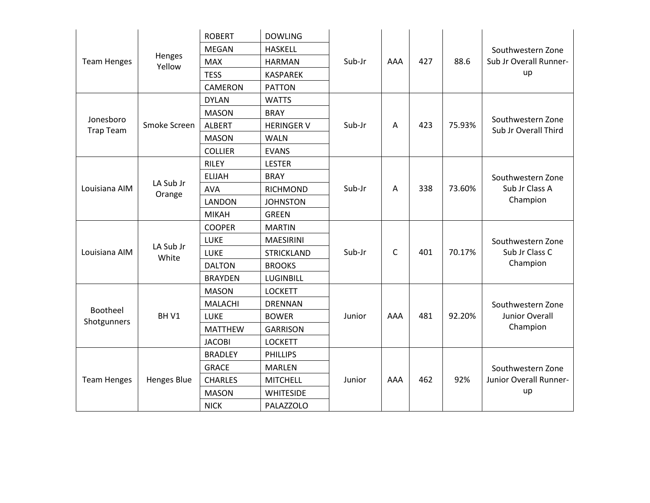|                               |                     | <b>ROBERT</b>  | <b>DOWLING</b>    |        |              |     |        |                                           |
|-------------------------------|---------------------|----------------|-------------------|--------|--------------|-----|--------|-------------------------------------------|
|                               |                     | <b>MEGAN</b>   | <b>HASKELL</b>    |        |              |     |        | Southwestern Zone                         |
| <b>Team Henges</b>            | Henges<br>Yellow    | <b>MAX</b>     | <b>HARMAN</b>     | Sub-Jr | AAA          | 427 | 88.6   | Sub Jr Overall Runner-                    |
|                               |                     | <b>TESS</b>    | <b>KASPAREK</b>   |        |              |     |        | up                                        |
|                               |                     | <b>CAMERON</b> | <b>PATTON</b>     |        |              |     |        |                                           |
|                               |                     | <b>DYLAN</b>   | <b>WATTS</b>      |        |              |     |        |                                           |
| Jonesboro<br><b>Trap Team</b> |                     | <b>MASON</b>   | <b>BRAY</b>       |        |              |     |        |                                           |
|                               | Smoke Screen        | <b>ALBERT</b>  | <b>HERINGER V</b> | Sub-Jr | A            | 423 | 75.93% | Southwestern Zone<br>Sub Jr Overall Third |
|                               |                     | <b>MASON</b>   | <b>WALN</b>       |        |              |     |        |                                           |
|                               |                     | <b>COLLIER</b> | <b>EVANS</b>      |        |              |     |        |                                           |
|                               |                     | <b>RILEY</b>   | <b>LESTER</b>     |        |              |     |        |                                           |
|                               |                     | <b>ELIJAH</b>  | <b>BRAY</b>       |        |              |     |        | Southwestern Zone                         |
| Louisiana AIM                 | LA Sub Jr<br>Orange | <b>AVA</b>     | <b>RICHMOND</b>   | Sub-Jr | A            | 338 | 73.60% | Sub Jr Class A                            |
|                               |                     | <b>LANDON</b>  | <b>JOHNSTON</b>   |        |              |     |        | Champion                                  |
|                               |                     | <b>MIKAH</b>   | <b>GREEN</b>      |        |              |     |        |                                           |
|                               |                     | <b>COOPER</b>  | <b>MARTIN</b>     |        |              |     |        | Southwestern Zone                         |
|                               |                     | LUKE           | <b>MAESIRINI</b>  |        |              |     |        |                                           |
| Louisiana AIM                 | LA Sub Jr<br>White  | LUKE           | <b>STRICKLAND</b> | Sub-Jr | $\mathsf{C}$ | 401 | 70.17% | Sub Jr Class C                            |
|                               |                     | <b>DALTON</b>  | <b>BROOKS</b>     |        |              |     |        | Champion                                  |
|                               |                     | <b>BRAYDEN</b> | LUGINBILL         |        |              |     |        |                                           |
|                               |                     | <b>MASON</b>   | <b>LOCKETT</b>    |        |              |     |        |                                           |
|                               |                     | <b>MALACHI</b> | <b>DRENNAN</b>    |        |              |     |        | Southwestern Zone                         |
| Bootheel<br>Shotgunners       | BHV1                | <b>LUKE</b>    | <b>BOWER</b>      | Junior | AAA          | 481 | 92.20% | Junior Overall                            |
|                               |                     | <b>MATTHEW</b> | <b>GARRISON</b>   |        |              |     |        | Champion                                  |
|                               |                     | <b>JACOBI</b>  | <b>LOCKETT</b>    |        |              |     |        |                                           |
|                               |                     | <b>BRADLEY</b> | <b>PHILLIPS</b>   |        |              |     |        |                                           |
| <b>Team Henges</b>            |                     | <b>GRACE</b>   | <b>MARLEN</b>     |        |              |     |        | Southwestern Zone                         |
|                               | <b>Henges Blue</b>  | <b>CHARLES</b> | <b>MITCHELL</b>   | Junior | AAA          | 462 | 92%    | Junior Overall Runner-                    |
|                               |                     | <b>MASON</b>   | <b>WHITESIDE</b>  |        |              |     |        | up                                        |
|                               |                     | <b>NICK</b>    | PALAZZOLO         |        |              |     |        |                                           |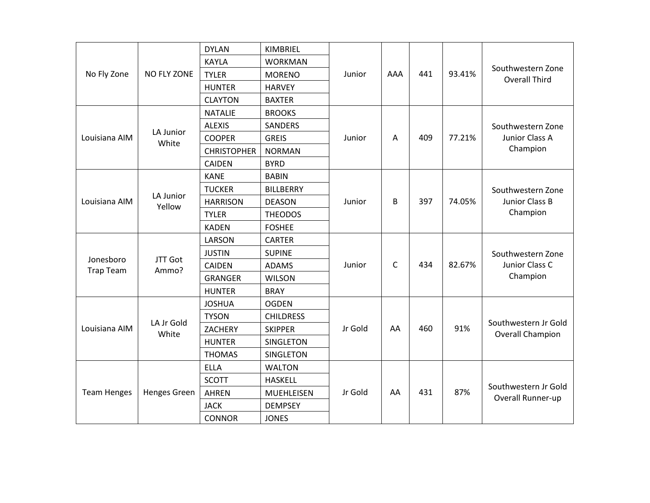|                    |                     | <b>DYLAN</b>       | KIMBRIEL         |         |     |     |        |                                                                                                                                                       |
|--------------------|---------------------|--------------------|------------------|---------|-----|-----|--------|-------------------------------------------------------------------------------------------------------------------------------------------------------|
|                    |                     | <b>KAYLA</b>       | <b>WORKMAN</b>   |         |     |     |        |                                                                                                                                                       |
| No Fly Zone        | <b>NO FLY ZONE</b>  | <b>TYLER</b>       | <b>MORENO</b>    | Junior  | AAA | 441 | 93.41% |                                                                                                                                                       |
|                    |                     | <b>HUNTER</b>      | <b>HARVEY</b>    |         |     |     |        |                                                                                                                                                       |
|                    |                     | <b>CLAYTON</b>     | <b>BAXTER</b>    |         |     |     |        |                                                                                                                                                       |
|                    |                     | <b>NATALIE</b>     | <b>BROOKS</b>    |         |     |     |        |                                                                                                                                                       |
| Louisiana AIM      |                     | <b>ALEXIS</b>      | <b>SANDERS</b>   |         |     |     |        | Southwestern Zone                                                                                                                                     |
|                    | LA Junior<br>White  | <b>COOPER</b>      | <b>GREIS</b>     | Junior  | A   | 409 | 77.21% | Junior Class A                                                                                                                                        |
|                    |                     | <b>CHRISTOPHER</b> | <b>NORMAN</b>    |         |     |     |        | Champion                                                                                                                                              |
|                    |                     | <b>CAIDEN</b>      | <b>BYRD</b>      |         |     |     |        |                                                                                                                                                       |
|                    |                     | <b>KANE</b>        | <b>BABIN</b>     |         |     |     |        |                                                                                                                                                       |
|                    |                     | <b>TUCKER</b>      | <b>BILLBERRY</b> |         |     |     |        | Southwestern Zone                                                                                                                                     |
| Louisiana AIM      | LA Junior<br>Yellow | <b>HARRISON</b>    | <b>DEASON</b>    | Junior  | B   | 397 | 74.05% | Junior Class B                                                                                                                                        |
|                    |                     | <b>TYLER</b>       | <b>THEODOS</b>   |         |     |     |        | Champion                                                                                                                                              |
|                    |                     | <b>KADEN</b>       | <b>FOSHEE</b>    |         |     |     |        |                                                                                                                                                       |
|                    |                     | LARSON             | <b>CARTER</b>    |         |     |     |        |                                                                                                                                                       |
| Jonesboro          | <b>JTT Got</b>      | <b>JUSTIN</b>      | <b>SUPINE</b>    |         |     |     |        | Southwestern Zone                                                                                                                                     |
| <b>Trap Team</b>   | Ammo?               | <b>CAIDEN</b>      | <b>ADAMS</b>     | Junior  | C   | 434 | 82.67% | Junior Class C                                                                                                                                        |
|                    |                     | <b>GRANGER</b>     | <b>WILSON</b>    |         |     |     |        | Southwestern Zone<br><b>Overall Third</b><br>Champion<br>Southwestern Jr Gold<br><b>Overall Champion</b><br>Southwestern Jr Gold<br>Overall Runner-up |
|                    |                     | <b>HUNTER</b>      | <b>BRAY</b>      |         |     |     |        |                                                                                                                                                       |
|                    |                     | <b>JOSHUA</b>      | <b>OGDEN</b>     |         |     |     |        |                                                                                                                                                       |
|                    |                     | <b>TYSON</b>       | <b>CHILDRESS</b> |         |     |     |        |                                                                                                                                                       |
| Louisiana AIM      | LA Jr Gold<br>White | <b>ZACHERY</b>     | <b>SKIPPER</b>   | Jr Gold | AA  | 460 | 91%    |                                                                                                                                                       |
|                    |                     | <b>HUNTER</b>      | <b>SINGLETON</b> |         |     |     |        |                                                                                                                                                       |
|                    |                     | <b>THOMAS</b>      | SINGLETON        |         |     |     |        |                                                                                                                                                       |
| <b>Team Henges</b> |                     | <b>ELLA</b>        | <b>WALTON</b>    |         |     |     |        |                                                                                                                                                       |
|                    |                     | <b>SCOTT</b>       | <b>HASKELL</b>   |         |     |     |        |                                                                                                                                                       |
|                    | Henges Green        | <b>AHREN</b>       | MUEHLEISEN       | Jr Gold | AA  | 431 | 87%    |                                                                                                                                                       |
|                    |                     | <b>JACK</b>        | <b>DEMPSEY</b>   |         |     |     |        |                                                                                                                                                       |
|                    |                     | <b>CONNOR</b>      | <b>JONES</b>     |         |     |     |        |                                                                                                                                                       |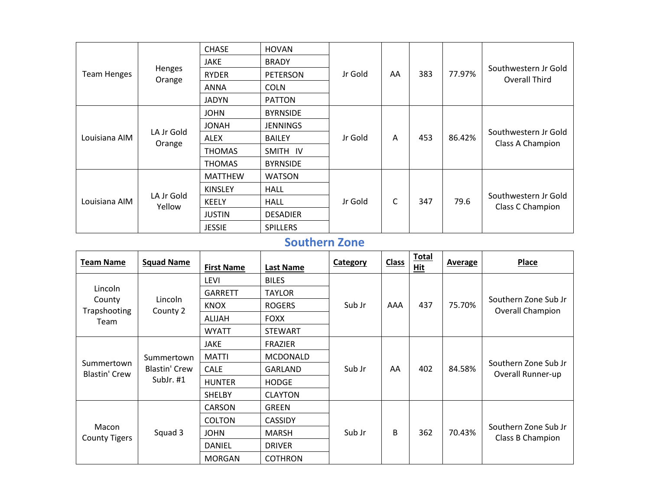|                    |                      | <b>CHASE</b>    | <b>HOVAN</b>    |         |    |     |        |                                          |
|--------------------|----------------------|-----------------|-----------------|---------|----|-----|--------|------------------------------------------|
|                    |                      | <b>JAKE</b>     | <b>BRADY</b>    |         |    |     |        |                                          |
| <b>Team Henges</b> | Henges<br>Orange     | <b>RYDER</b>    | <b>PETERSON</b> | Jr Gold | AA | 383 | 77.97% | Southwestern Jr Gold<br>Overall Third    |
|                    |                      | <b>ANNA</b>     | <b>COLN</b>     |         |    |     |        |                                          |
|                    |                      | <b>JADYN</b>    | <b>PATTON</b>   |         |    |     |        |                                          |
|                    | <b>JOHN</b>          | <b>BYRNSIDE</b> |                 |         |    |     |        |                                          |
|                    |                      | <b>JONAH</b>    | <b>JENNINGS</b> |         |    |     |        |                                          |
| Louisiana AIM      | LA Jr Gold<br>Orange | ALEX            | <b>BAILEY</b>   | Jr Gold | A  | 453 | 86.42% | Southwestern Jr Gold<br>Class A Champion |
|                    |                      | <b>THOMAS</b>   | SMITH IV        |         |    |     |        |                                          |
|                    |                      | <b>THOMAS</b>   | <b>BYRNSIDE</b> |         |    |     |        |                                          |
|                    |                      | <b>MATTHEW</b>  | <b>WATSON</b>   |         |    |     |        |                                          |
|                    |                      | <b>KINSLEY</b>  | <b>HALL</b>     |         |    |     |        |                                          |
| Louisiana AIM      | LA Jr Gold<br>Yellow | KEELY           | HALL            | Jr Gold | С  | 347 | 79.6   | Southwestern Jr Gold<br>Class C Champion |
|                    |                      | <b>JUSTIN</b>   | <b>DESADIER</b> |         |    |     |        |                                          |
|                    |                      | <b>JESSIE</b>   | <b>SPILLERS</b> |         |    |     |        |                                          |

## **Southern Zone**

| <b>Team Name</b>              | <b>Squad Name</b>    | <b>First Name</b> | <b>Last Name</b> | Category | <b>Class</b> | <b>Total</b><br>Hit | <b>Average</b> | <b>Place</b>                              |
|-------------------------------|----------------------|-------------------|------------------|----------|--------------|---------------------|----------------|-------------------------------------------|
| Lincoln                       |                      | LEVI              | <b>BILES</b>     |          |              |                     |                |                                           |
|                               |                      | <b>GARRETT</b>    | <b>TAYLOR</b>    |          |              |                     |                |                                           |
| County<br>Trapshooting        | Lincoln<br>County 2  | <b>KNOX</b>       | <b>ROGERS</b>    | Sub Jr   | AAA          | 437                 | 75.70%         | Southern Zone Sub Jr<br>Overall Champion  |
| Team                          |                      | ALIJAH            | <b>FOXX</b>      |          |              |                     |                |                                           |
|                               |                      | <b>WYATT</b>      | <b>STEWART</b>   |          |              |                     |                |                                           |
|                               |                      | <b>JAKE</b>       | <b>FRAZIER</b>   |          |              |                     |                |                                           |
|                               | Summertown           | <b>MATTI</b>      | <b>MCDONALD</b>  |          |              |                     |                |                                           |
| Summertown<br>Blastin' Crew   | <b>Blastin' Crew</b> | <b>CALE</b>       | GARLAND          | Sub Jr   | AA           | 402                 | 84.58%         |                                           |
|                               | SubJr. #1            | <b>HUNTER</b>     | <b>HODGE</b>     |          |              |                     |                |                                           |
|                               |                      | <b>SHELBY</b>     | <b>CLAYTON</b>   |          |              |                     |                | Southern Zone Sub Jr<br>Overall Runner-up |
|                               |                      | <b>CARSON</b>     | <b>GREEN</b>     |          |              |                     |                |                                           |
|                               |                      | <b>COLTON</b>     | <b>CASSIDY</b>   |          |              |                     |                |                                           |
| Macon<br><b>County Tigers</b> | Squad 3              | <b>JOHN</b>       | <b>MARSH</b>     | Sub Jr   | B            | 362                 | 70.43%         |                                           |
|                               |                      | <b>DANIEL</b>     | <b>DRIVER</b>    |          |              |                     |                | Southern Zone Sub Jr<br>Class B Champion  |
|                               |                      | <b>MORGAN</b>     | <b>COTHRON</b>   |          |              |                     |                |                                           |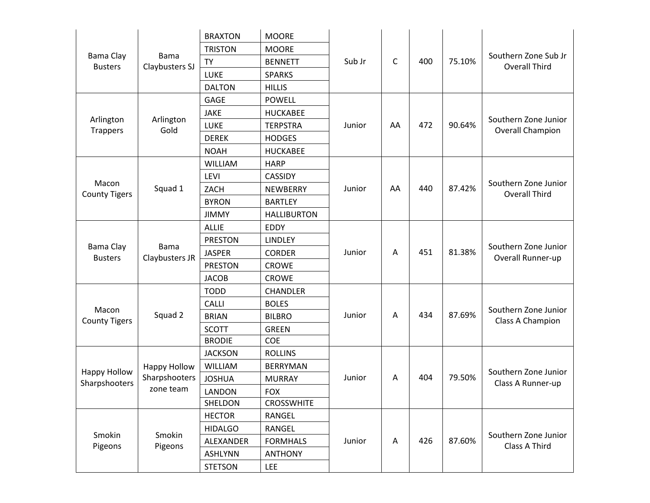|                               |                               | <b>BRAXTON</b> | <b>MOORE</b>       |        |    |     |        |                                              |
|-------------------------------|-------------------------------|----------------|--------------------|--------|----|-----|--------|----------------------------------------------|
|                               |                               | <b>TRISTON</b> | <b>MOORE</b>       |        |    |     |        |                                              |
| Bama Clay<br><b>Busters</b>   | <b>Bama</b><br>Claybusters SJ | <b>TY</b>      | <b>BENNETT</b>     | Sub Jr | C  | 400 | 75.10% | Southern Zone Sub Jr<br><b>Overall Third</b> |
|                               |                               | LUKE           | <b>SPARKS</b>      |        |    |     |        |                                              |
|                               |                               | <b>DALTON</b>  | <b>HILLIS</b>      |        |    |     |        |                                              |
|                               |                               | <b>GAGE</b>    | <b>POWELL</b>      |        |    |     |        |                                              |
|                               |                               | JAKE           | <b>HUCKABEE</b>    |        |    |     |        | Southern Zone Junior                         |
| Arlington<br><b>Trappers</b>  | Arlington<br>Gold             | LUKE           | <b>TERPSTRA</b>    | Junior | AA | 472 | 90.64% | Overall Champion                             |
|                               |                               | <b>DEREK</b>   | <b>HODGES</b>      |        |    |     |        |                                              |
|                               |                               | <b>NOAH</b>    | HUCKABEE           |        |    |     |        |                                              |
|                               |                               | <b>WILLIAM</b> | <b>HARP</b>        |        |    |     |        |                                              |
| Macon<br><b>County Tigers</b> |                               | LEVI           | <b>CASSIDY</b>     |        |    |     |        |                                              |
|                               | Squad 1                       | ZACH           | NEWBERRY           | Junior | AA | 440 | 87.42% | Southern Zone Junior<br><b>Overall Third</b> |
|                               |                               | <b>BYRON</b>   | <b>BARTLEY</b>     |        |    |     |        |                                              |
|                               |                               | <b>JIMMY</b>   | <b>HALLIBURTON</b> |        |    |     |        |                                              |
|                               |                               | <b>ALLIE</b>   | <b>EDDY</b>        |        |    |     |        |                                              |
|                               |                               | <b>PRESTON</b> | LINDLEY            |        |    |     |        |                                              |
| Bama Clay<br><b>Busters</b>   | Bama<br>Claybusters JR        | <b>JASPER</b>  | <b>CORDER</b>      | Junior | A  | 451 | 81.38% | Southern Zone Junior<br>Overall Runner-up    |
|                               |                               | <b>PRESTON</b> | <b>CROWE</b>       |        |    |     |        |                                              |
|                               |                               | <b>JACOB</b>   | <b>CROWE</b>       |        |    |     |        |                                              |
|                               |                               | <b>TODD</b>    | <b>CHANDLER</b>    |        |    |     |        |                                              |
|                               |                               | <b>CALLI</b>   | <b>BOLES</b>       |        |    |     |        | Southern Zone Junior                         |
| Macon<br><b>County Tigers</b> | Squad 2                       | <b>BRIAN</b>   | <b>BILBRO</b>      | Junior | Α  | 434 | 87.69% | Class A Champion                             |
|                               |                               | <b>SCOTT</b>   | <b>GREEN</b>       |        |    |     |        |                                              |
|                               |                               | <b>BRODIE</b>  | COE                |        |    |     |        |                                              |
|                               |                               | <b>JACKSON</b> | <b>ROLLINS</b>     |        |    |     |        |                                              |
| Happy Hollow                  | <b>Happy Hollow</b>           | <b>WILLIAM</b> | <b>BERRYMAN</b>    |        |    |     |        | Southern Zone Junior                         |
| Sharpshooters                 | Sharpshooters                 | <b>JOSHUA</b>  | <b>MURRAY</b>      | Junior | Α  | 404 | 79.50% | Class A Runner-up                            |
|                               | zone team                     | LANDON         | <b>FOX</b>         |        |    |     |        |                                              |
|                               |                               | SHELDON        | <b>CROSSWHITE</b>  |        |    |     |        |                                              |
|                               |                               | <b>HECTOR</b>  | RANGEL             |        |    |     |        |                                              |
| Smokin<br>Pigeons             | Smokin                        | <b>HIDALGO</b> | RANGEL             |        |    |     |        | Southern Zone Junior                         |
|                               | Pigeons                       | ALEXANDER      | <b>FORMHALS</b>    | Junior | A  | 426 | 87.60% | Class A Third                                |
|                               |                               | <b>ASHLYNN</b> | <b>ANTHONY</b>     |        |    |     |        |                                              |
|                               |                               | <b>STETSON</b> | <b>LEE</b>         |        |    |     |        |                                              |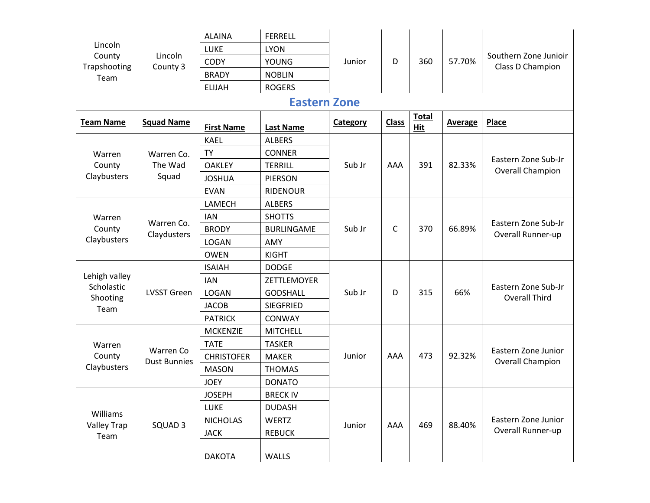|                             |                           | <b>ALAINA</b>     | <b>FERRELL</b>      |          |              |                     |                |                                                                                                                                                                                                        |
|-----------------------------|---------------------------|-------------------|---------------------|----------|--------------|---------------------|----------------|--------------------------------------------------------------------------------------------------------------------------------------------------------------------------------------------------------|
| Lincoln                     |                           | <b>LUKE</b>       | <b>LYON</b>         |          |              |                     |                |                                                                                                                                                                                                        |
| County<br>Trapshooting      | Lincoln<br>County 3       | <b>CODY</b>       | <b>YOUNG</b>        | Junior   | D            | 360                 | 57.70%         |                                                                                                                                                                                                        |
| Team                        |                           | <b>BRADY</b>      | <b>NOBLIN</b>       |          |              |                     |                | Southern Zone Junioir<br>Class D Champion<br><b>Place</b><br>Eastern Zone Sub-Jr<br><b>Overall Champion</b><br>Eastern Zone Sub-Jr<br>Overall Runner-up<br>Eastern Zone Sub-Jr<br><b>Overall Third</b> |
|                             |                           | <b>ELIJAH</b>     | <b>ROGERS</b>       |          |              |                     |                |                                                                                                                                                                                                        |
|                             |                           |                   | <b>Eastern Zone</b> |          |              |                     |                |                                                                                                                                                                                                        |
| <b>Team Name</b>            | <b>Squad Name</b>         | <b>First Name</b> | <b>Last Name</b>    | Category | <b>Class</b> | <b>Total</b><br>Hit | <b>Average</b> |                                                                                                                                                                                                        |
|                             |                           | <b>KAEL</b>       | <b>ALBERS</b>       |          |              |                     |                |                                                                                                                                                                                                        |
| Warren                      | Warren Co.                | <b>TY</b>         | <b>CONNER</b>       |          |              |                     |                |                                                                                                                                                                                                        |
| County                      | The Wad<br><b>OAKLEY</b>  |                   | <b>TERRILL</b>      | Sub Jr   | AAA          | 391                 | 82.33%         |                                                                                                                                                                                                        |
| Claybusters                 | Squad                     | <b>JOSHUA</b>     | PIERSON             |          |              |                     |                |                                                                                                                                                                                                        |
|                             |                           | <b>EVAN</b>       | <b>RIDENOUR</b>     |          |              |                     |                |                                                                                                                                                                                                        |
|                             |                           | LAMECH            | <b>ALBERS</b>       |          |              |                     |                |                                                                                                                                                                                                        |
| Warren                      |                           | <b>IAN</b>        | <b>SHOTTS</b>       |          |              |                     |                |                                                                                                                                                                                                        |
| County                      | Warren Co.<br>Claydusters | <b>BRODY</b>      | <b>BURLINGAME</b>   | Sub Jr   | C            | 370                 | 66.89%         |                                                                                                                                                                                                        |
| Claybusters                 |                           | <b>LOGAN</b>      | AMY                 |          |              |                     |                |                                                                                                                                                                                                        |
|                             |                           | <b>OWEN</b>       | <b>KIGHT</b>        |          |              |                     |                |                                                                                                                                                                                                        |
|                             |                           | <b>ISAIAH</b>     | <b>DODGE</b>        |          |              |                     |                |                                                                                                                                                                                                        |
| Lehigh valley<br>Scholastic |                           | <b>IAN</b>        | ZETTLEMOYER         |          |              |                     |                |                                                                                                                                                                                                        |
| Shooting                    | <b>LVSST Green</b>        | <b>LOGAN</b>      | <b>GODSHALL</b>     | Sub Jr   | D            | 315                 | 66%            |                                                                                                                                                                                                        |
| Team                        |                           | <b>JACOB</b>      | <b>SIEGFRIED</b>    |          |              |                     |                |                                                                                                                                                                                                        |
|                             |                           | <b>PATRICK</b>    | CONWAY              |          |              |                     |                |                                                                                                                                                                                                        |
|                             |                           | <b>MCKENZIE</b>   | <b>MITCHELL</b>     |          |              |                     |                |                                                                                                                                                                                                        |
| Warren                      | Warren Co                 | <b>TATE</b>       | <b>TASKER</b>       |          |              |                     |                | Eastern Zone Junior                                                                                                                                                                                    |
| County                      | <b>Dust Bunnies</b>       | <b>CHRISTOFER</b> | <b>MAKER</b>        | Junior   | AAA          | 473                 | 92.32%         | <b>Overall Champion</b>                                                                                                                                                                                |
| Claybusters                 |                           | <b>MASON</b>      | <b>THOMAS</b>       |          |              |                     |                |                                                                                                                                                                                                        |
|                             |                           | <b>JOEY</b>       | <b>DONATO</b>       |          |              |                     |                |                                                                                                                                                                                                        |
|                             |                           | <b>JOSEPH</b>     | <b>BRECK IV</b>     |          |              |                     |                |                                                                                                                                                                                                        |
| Williams                    |                           | <b>LUKE</b>       | <b>DUDASH</b>       |          |              |                     |                |                                                                                                                                                                                                        |
| <b>Valley Trap</b>          | SQUAD 3                   | <b>NICHOLAS</b>   | WERTZ               | Junior   | AAA          | 469                 | 88.40%         | Eastern Zone Junior                                                                                                                                                                                    |
| Team                        |                           | <b>JACK</b>       | <b>REBUCK</b>       |          |              |                     |                | Overall Runner-up                                                                                                                                                                                      |
|                             |                           | <b>DAKOTA</b>     | WALLS               |          |              |                     |                |                                                                                                                                                                                                        |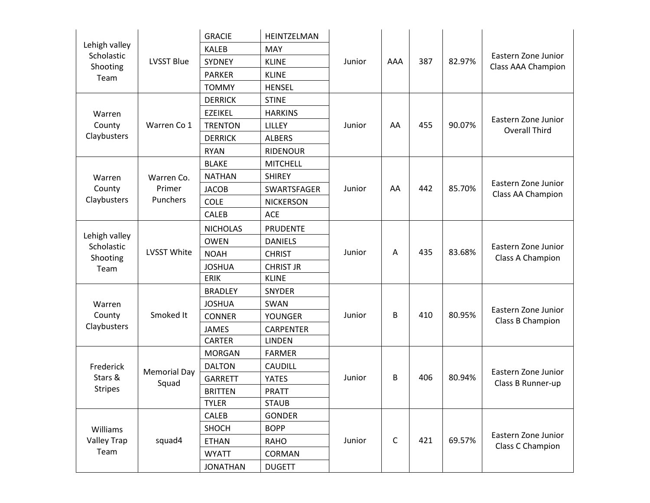|                                        |                     | <b>GRACIE</b>   | HEINTZELMAN      |        |             |     |        |                                                                                                                                                                                                                                                                        |
|----------------------------------------|---------------------|-----------------|------------------|--------|-------------|-----|--------|------------------------------------------------------------------------------------------------------------------------------------------------------------------------------------------------------------------------------------------------------------------------|
| Lehigh valley                          |                     | <b>KALEB</b>    | MAY              |        |             |     |        |                                                                                                                                                                                                                                                                        |
| Scholastic<br>Shooting                 | <b>LVSST Blue</b>   | <b>SYDNEY</b>   | <b>KLINE</b>     | Junior | AAA         | 387 | 82.97% | Eastern Zone Junior<br>Class AAA Champion<br>Eastern Zone Junior<br><b>Overall Third</b><br>Eastern Zone Junior<br>Class AA Champion<br>Eastern Zone Junior<br>Class A Champion<br>Eastern Zone Junior<br>Class B Champion<br>Eastern Zone Junior<br>Class B Runner-up |
| Team                                   |                     | <b>PARKER</b>   | <b>KLINE</b>     |        |             |     |        |                                                                                                                                                                                                                                                                        |
|                                        |                     | <b>TOMMY</b>    | <b>HENSEL</b>    |        |             |     |        |                                                                                                                                                                                                                                                                        |
|                                        |                     | <b>DERRICK</b>  | <b>STINE</b>     |        |             |     |        |                                                                                                                                                                                                                                                                        |
| Warren                                 |                     | <b>EZEIKEL</b>  | <b>HARKINS</b>   |        |             |     |        |                                                                                                                                                                                                                                                                        |
| County                                 | Warren Co 1         | <b>TRENTON</b>  | LILLEY           | Junior | AA          | 455 | 90.07% |                                                                                                                                                                                                                                                                        |
| Claybusters                            |                     | <b>DERRICK</b>  | <b>ALBERS</b>    |        |             |     |        |                                                                                                                                                                                                                                                                        |
|                                        |                     | <b>RYAN</b>     | <b>RIDENOUR</b>  |        |             |     |        |                                                                                                                                                                                                                                                                        |
|                                        |                     | <b>BLAKE</b>    | <b>MITCHELL</b>  |        |             |     |        |                                                                                                                                                                                                                                                                        |
| Warren<br>County<br>Claybusters        | Warren Co.          | <b>NATHAN</b>   | <b>SHIREY</b>    |        |             |     |        |                                                                                                                                                                                                                                                                        |
|                                        | Primer<br>Punchers  | <b>JACOB</b>    | SWARTSFAGER      | Junior | AA          | 442 | 85.70% |                                                                                                                                                                                                                                                                        |
|                                        |                     | <b>COLE</b>     | <b>NICKERSON</b> |        |             |     |        |                                                                                                                                                                                                                                                                        |
|                                        |                     | <b>CALEB</b>    | <b>ACE</b>       |        |             |     |        |                                                                                                                                                                                                                                                                        |
|                                        |                     | <b>NICHOLAS</b> | <b>PRUDENTE</b>  |        |             |     |        |                                                                                                                                                                                                                                                                        |
| Lehigh valley<br>Scholastic            |                     | <b>OWEN</b>     | <b>DANIELS</b>   |        |             |     |        |                                                                                                                                                                                                                                                                        |
| Shooting                               | <b>LVSST White</b>  | <b>NOAH</b>     | <b>CHRIST</b>    | Junior | A           | 435 | 83.68% |                                                                                                                                                                                                                                                                        |
| Team                                   |                     | <b>JOSHUA</b>   | <b>CHRIST JR</b> |        |             |     |        |                                                                                                                                                                                                                                                                        |
|                                        |                     | <b>ERIK</b>     | <b>KLINE</b>     |        |             |     |        |                                                                                                                                                                                                                                                                        |
|                                        |                     | <b>BRADLEY</b>  | SNYDER           |        |             |     |        |                                                                                                                                                                                                                                                                        |
| Warren                                 |                     | <b>JOSHUA</b>   | SWAN             |        |             |     |        |                                                                                                                                                                                                                                                                        |
| County                                 | Smoked It           | <b>CONNER</b>   | <b>YOUNGER</b>   | Junior | B           | 410 | 80.95% |                                                                                                                                                                                                                                                                        |
| Claybusters                            |                     | <b>JAMES</b>    | <b>CARPENTER</b> |        |             |     |        |                                                                                                                                                                                                                                                                        |
|                                        |                     | <b>CARTER</b>   | <b>LINDEN</b>    |        |             |     |        |                                                                                                                                                                                                                                                                        |
|                                        |                     | <b>MORGAN</b>   | <b>FARMER</b>    |        |             |     |        |                                                                                                                                                                                                                                                                        |
| Frederick                              | <b>Memorial Day</b> | <b>DALTON</b>   | CAUDILL          |        |             |     |        |                                                                                                                                                                                                                                                                        |
| Stars &                                | Squad               | <b>GARRETT</b>  | <b>YATES</b>     | Junior | B           | 406 | 80.94% |                                                                                                                                                                                                                                                                        |
| <b>Stripes</b>                         |                     | <b>BRITTEN</b>  | <b>PRATT</b>     |        |             |     |        |                                                                                                                                                                                                                                                                        |
|                                        |                     | <b>TYLER</b>    | <b>STAUB</b>     |        |             |     |        |                                                                                                                                                                                                                                                                        |
|                                        |                     | <b>CALEB</b>    | <b>GONDER</b>    |        |             |     |        |                                                                                                                                                                                                                                                                        |
| Williams<br><b>Valley Trap</b><br>Team |                     | SHOCH           | <b>BOPP</b>      |        |             |     |        | Eastern Zone Junior                                                                                                                                                                                                                                                    |
|                                        | squad4              | <b>ETHAN</b>    | <b>RAHO</b>      | Junior | $\mathsf C$ | 421 | 69.57% | Class C Champion                                                                                                                                                                                                                                                       |
|                                        |                     | <b>WYATT</b>    | CORMAN           |        |             |     |        |                                                                                                                                                                                                                                                                        |
|                                        |                     | <b>JONATHAN</b> | <b>DUGETT</b>    |        |             |     |        |                                                                                                                                                                                                                                                                        |